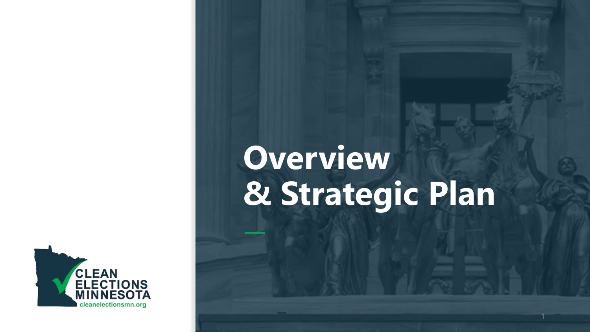

# **Overview & Strategic Plan**

1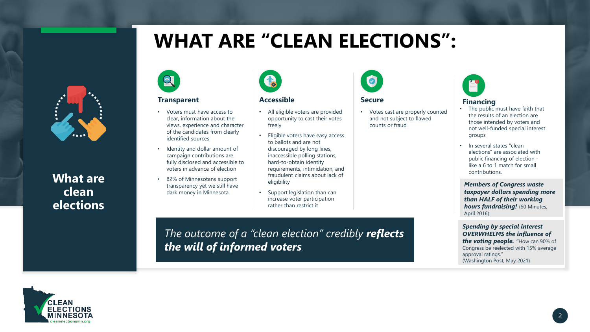# **WHAT ARE "CLEAN ELECTIONS":**



**What are clean elections**



#### **Transparent**

 $\Omega$ 

- Voters must have access to clear, information about the views, experience and character of the candidates from clearly identified sources
- fraud **denti**<br>campa<br>fully d Identity and dollar amount of campaign contributions are fully disclosed and accessible to voters in advance of election
	- 82% of Minnesotans support transparency yet we still have dark money in Minnesota.

Tes

#### **Accessible**

- All eligible voters are provided opportunity to cast their votes freely
- Eligible voters have easy access to ballots and are not discouraged by long lines, inaccessible polling stations, hard-to-obtain identity requirements, intimidation, and fraudulent claims about lack of eligibility
- Support legislation than can increase voter participation rather than restrict it

*The outcome of a "clean election" credibly reflects the will of informed voters.*



#### **Secure**

• Votes cast are properly counted and not subject to flawed counts or fraud



#### **Financing**

- The public must have faith that the results of an election are those intended by voters and not well-funded special interest groups
- In several states "clean elections" are associated with public financing of election like a 6 to 1 match for small contributions.

*Members of Congress waste taxpayer dollars spending more than HALF of their working*  **hours fundraising!** (60 Minutes, April 2016)

*Spending by special interest OVERWHELMS the influence of the voting people.* "How can 90% of Congress be reelected with 15% average approval ratings." (Washington Post, May 2021)

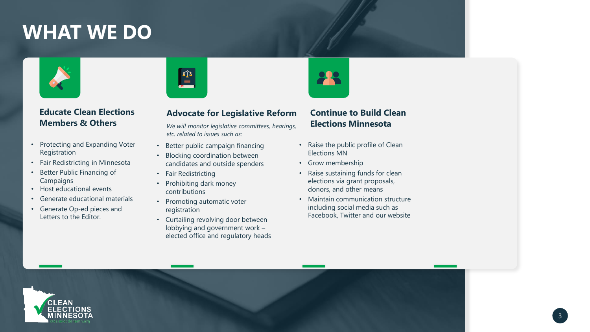# **WHAT WE DO**



## **Educate Clean Elections Members & Others**

- Protecting and Expanding Voter Registration
- Fair Redistricting in Minnesota
- Better Public Financing of **Campaigns**
- Host educational events
- Generate educational materials
- Generate Op-ed pieces and Letters to the Editor.



# **Advocate for Legislative Reform**

*We will monitor legislative committees, hearings, etc. related to issues such as:*

- Better public campaign financing
- Blocking coordination between candidates and outside spenders
- Fair Redistricting
- Prohibiting dark money contributions
- Promoting automatic voter registration
- Curtailing revolving door between lobbying and government work – elected office and regulatory heads



### **Continue to Build Clean Elections Minnesota**

- Raise the public profile of Clean Elections MN
- Grow membership
- Raise sustaining funds for clean elections via grant proposals, donors, and other means
- Maintain communication structure including social media such as Facebook, Twitter and our website

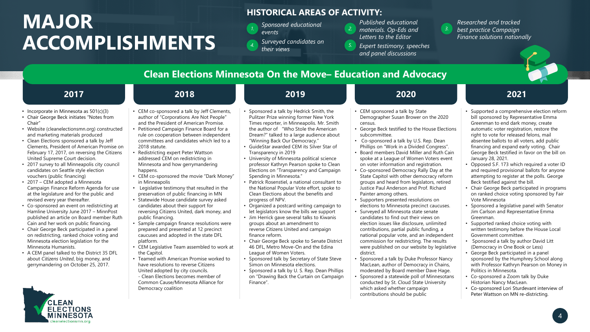# **MAJOR ACCOMPLISHMENTS**

CLEAN

### **HISTORICAL AREAS OF ACTIVITY:**

- *Sponsored educational events Finance solutions nationally Surveyed candidates on*
- *4.*

*Published educational materials. Op-Eds and Letters to the Editor 2.*

- *their views Expert testimony, speeches their views and panel discussions 5.*
- *Researched and tracked best practice Campaign*

*3.*

**2017 Clean Elections Minnesota On the Move– Education and Advocacy 2018 2019 2020 2021** • Incorporate in Minnesota as 501(c)(3) • Chair George Beck initiates "Notes from Chair" • Website (cleanelectionsmn.org) constructed and marketing materials produced • Clean Elections sponsored a talk by Jeff Clements, President of American Promise on February 17, 2017, on reversing the Citizens United Supreme Court decision. • 2017 survey to all Minneapolis city council candidates on Seattle style election vouchers (public financing) • 2017 – CEM adopted a Minnesota Campaign Finance Reform Agenda for use at the legislature and for the public and revised every year thereafter. • Co-sponsored an event on redistricting at Hamline University June 2017 – MinnPost published an article on Board member Ruth Cain and her work on public financing. • Chair George Beck participated in a panel on redistricting, ranked choice voting and Minnesota election legislation for the Minnesota Humanists. • A CEM panel talked to the District 35 DFL about *Citizens United*, big money, and gerrymandering on October 25, 2017. • CEM co-sponsored a talk by Jeff Clements, author of "Corporations Are Not People" and the President of American Promise. • Petitioned Campaign Finance Board for a rule on cooperation between independent committees and candidates which led to a 2018 statute. • Redistricting expert Peter Wattson addressed CEM on redistricting in Minnesota and how gerrymandering happens. • CEM co-sponsored the movie "Dark Money" in Minneapolis • Legislative testimony that resulted in the preservation of public financing in MN • Statewide House candidate survey asked candidates about their support for reversing Citizens United, dark money, and public financing. • Sample campaign finance resolutions were prepared and presented at 12 precinct caucuses and adopted in the state DFL platform. • CEM Legislative Team assembled to work at the Capitol. • Teamed with American Promise worked to have resolutions to reverse Citizens United adopted by city councils. - Clean Elections becomes member of Common Cause/Minnesota Alliance for Democracy coalition • Sponsored a talk by Hedrick Smith, the Pulitzer Prize winning former New York Times reporter, in Minneapolis. Mr. Smith the author of "Who Stole the American Dream?" talked to a large audience about "Winning Back Our Democracy." • GuideStar awarded CEM its Silver Star of Transparency in 2019 • University of Minnesota political science professor Kathryn Pearson spoke to Clean Elections on "Transparency and Campaign Spending in Minnesota." • Patrick Rosenstiel, a national consultant to the National Popular Vote effort, spoke to Clean Elections about the benefits and progress of NPV. • Organized a postcard writing campaign to let legislators know the bills we support • Jim Herrick gave several talks to Kiwanis groups about an amendment to reverse Citizens United and campaign finance reform. • Chair George Beck spoke to Senate District 46 DFL, Metro Move-On and the Edina League of Women Voters. • Sponsored talk by Secretary of State Steve Simon on Minnesota elections. • Sponsored a talk by U. S. Rep. Dean Phillips on "Drawing Back the Curtain on Campaign Finance". • CEM sponsored a talk by State Demographer Susan Brower on the 2020 census. • George Beck testified to the House Elections subcommittee. • Co-sponsored a talk by U.S. Rep. Dean Phillips on "Work in a Divided Congress". • Board members David Miller and Ruth Cain spoke at a League of Women Voters event on voter information and registration. • Co-sponsored Democracy Rally Day at the State Capitol with other democracy reform groups and heard from legislators, retired Justice Paul Anderson and Prof. Richard Painter among others. • Supporters presented resolutions on elections to Minnesota precinct caucuses. • Surveyed all Minnesota state senate candidates to find out their views on election issues like disclosure, unlimited contributions, partial public funding, a national popular vote, and an independent commission for redistricting. The results were published on our website by legislative district. • Sponsored a talk by Duke Professor Nancy MacLean, author of Democracy in Chains, moderated by Board member Dave Hage. • Sponsored a statewide poll of Minnesotans conducted by St. Cloud State University which asked whether campaign contributions should be public • Supported a comprehensive election reform bill sponsored by Representative Emma Greenman to end dark money, create automatic voter registration, restore the right to vote for released felons, mail absentee ballots to all voters, add public financing and expand early voting. Chair George Beck testified in favor on the bill on January 28, 2021. • Opposed S.F. 173 which required a voter ID and required provisional ballots for anyone attempting to register at the polls. George Beck testified against the bill. • Chair George Beck participated in programs on ranked choice voting sponsored by Fair Vote Minnesota • Sponsored a legislative panel with Senator Jim Carlson and Representative Emma Greenman. • Supported ranked choice voting with written testimony before the House Local Government committee. • Sponsored a talk by author David Litt (Democracy in One Book or Less) • George Beck participated in a panel sponsored by the Humphrey School along with Professor Kathryn Pearson on Money in Politics in Minnesota. • Co-sponsored a Zoom talk by Duke Historian Nancy MacLean. • Co-sponsored Lori Sturdevant interview of Peter Wattson on MN re-districting.

### 4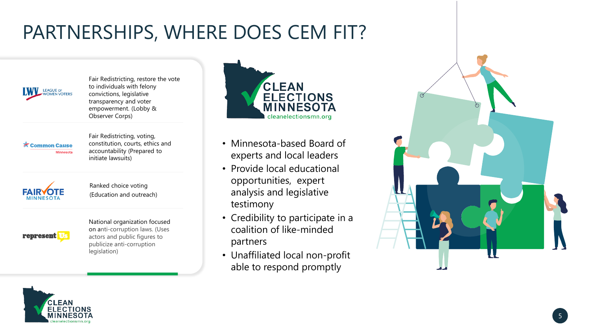# PARTNERSHIPS, WHERE DOES CEM FIT?



Fair Redistricting, restore the vote to individuals with felony convictions, legislative transparency and voter empowerment. (Lobby & Observer Corps)



Fair Redistricting, voting, constitution, courts, ethics and accountability (Prepared to initiate lawsuits)



Ranked choice voting (Education and outreach)



National organization focused on anti-corruption laws. (Uses actors and public figures to publicize anti-corruption legislation)



- Minnesota-based Board of experts and local leaders
- Provide local educational opportunities, expert analysis and legislative testimony
- Credibility to participate in a coalition of like-minded partners
- Unaffiliated local non-profit able to respond promptly



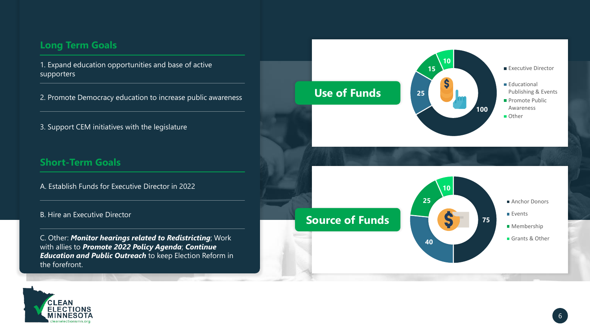## **Long Term Goals**

1. Expand education opportunities and base of active supporters

2. Promote Democracy education to increase public awareness

3. Support CEM initiatives with the legislature

### **Short-Term Goals**

A. Establish Funds for Executive Director in 2022

#### B. Hire an Executive Director

C. Other: *Monitor hearings related to Redistricting*; Work with allies to *Promote 2022 Policy Agenda*; *Continue Education and Public Outreach* to keep Election Reform in the forefront.



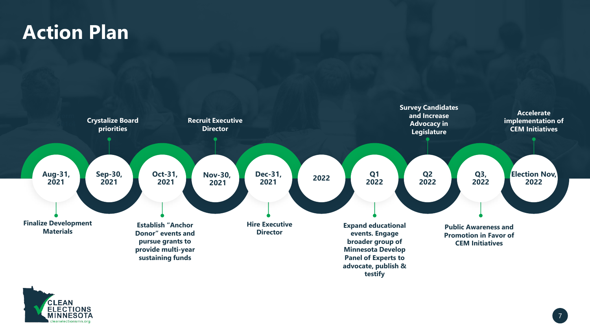# **Action Plan**